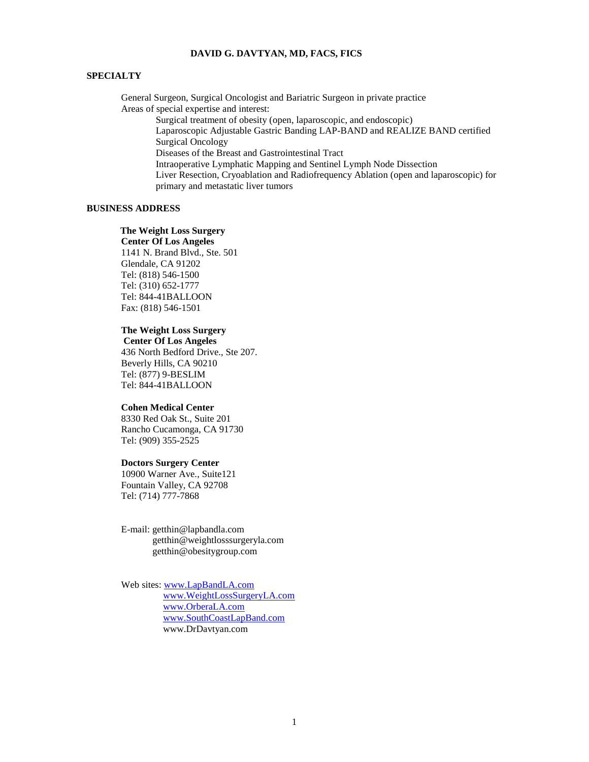## **DAVID G. DAVTYAN, MD, FACS, FICS**

## **SPECIALTY**

General Surgeon, Surgical Oncologist and Bariatric Surgeon in private practice Areas of special expertise and interest:

Surgical treatment of obesity (open, laparoscopic, and endoscopic) Laparoscopic Adjustable Gastric Banding LAP-BAND and REALIZE BAND certified Surgical Oncology Diseases of the Breast and Gastrointestinal Tract Intraoperative Lymphatic Mapping and Sentinel Lymph Node Dissection Liver Resection, Cryoablation and Radiofrequency Ablation (open and laparoscopic) for primary and metastatic liver tumors

### **BUSINESS ADDRESS**

 **The Weight Loss Surgery Center Of Los Angeles** 1141 N. Brand Blvd., Ste. 501 Glendale, CA 91202 Tel: (818) 546-1500 Tel: (310) 652-1777 Tel: 844-41BALLOON Fax: (818) 546-1501

## **The Weight Loss Surgery**

**Center Of Los Angeles** 436 North Bedford Drive., Ste 207. Beverly Hills, CA 90210 Tel: (877) 9-BESLIM Tel: 844-41BALLOON

# **Cohen Medical Center**

8330 Red Oak St., Suite 201 Rancho Cucamonga, CA 91730 Tel: (909) 355-2525

#### **Doctors Surgery Center**

10900 Warner Ave., Suite121 Fountain Valley, CA 92708 Tel: (714) 777-7868

E-mail: [getthin@lapbandla.com](mailto:getthin@lapbandla.com) getthin@weightlosssurgeryla.com getthin@obesitygroup.com

Web sites: [www.LapBandLA.com](http://www.lapbandla.com/) [www.WeightLossSurgeryLA.com](www.WeightLossSurgeryLA.com/) [www.OrberaLA.com](http://www.orberala.com/) [www.SouthCoastLapBand.com](http://www.southcoastlapband.com/) www.DrDavtyan.com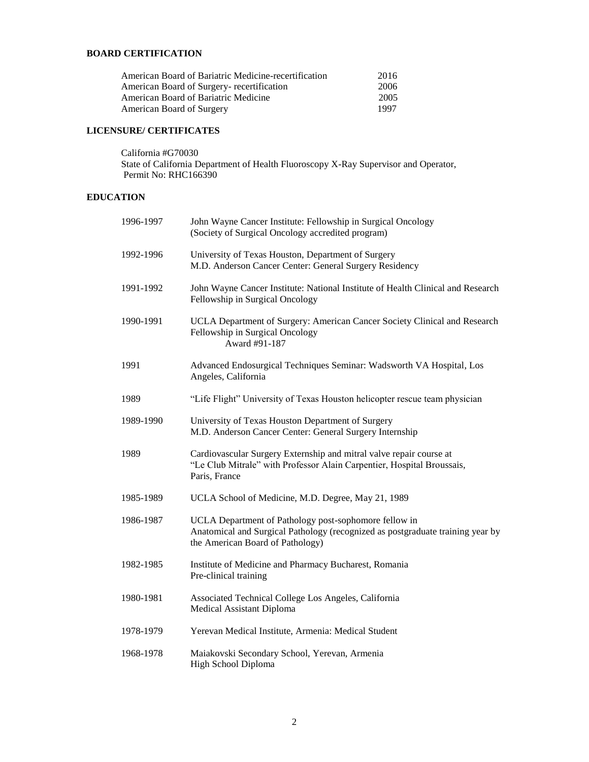# **BOARD CERTIFICATION**

| American Board of Bariatric Medicine-recertification | 2016 |
|------------------------------------------------------|------|
| American Board of Surgery- recertification           | 2006 |
| American Board of Bariatric Medicine                 | 2005 |
| American Board of Surgery                            | 1997 |

# **LICENSURE/ CERTIFICATES**

California #G70030 State of California Department of Health Fluoroscopy X-Ray Supervisor and Operator, Permit No: RHC166390

# **EDUCATION**

| 1996-1997 | John Wayne Cancer Institute: Fellowship in Surgical Oncology<br>(Society of Surgical Oncology accredited program)                                                           |
|-----------|-----------------------------------------------------------------------------------------------------------------------------------------------------------------------------|
| 1992-1996 | University of Texas Houston, Department of Surgery<br>M.D. Anderson Cancer Center: General Surgery Residency                                                                |
| 1991-1992 | John Wayne Cancer Institute: National Institute of Health Clinical and Research<br>Fellowship in Surgical Oncology                                                          |
| 1990-1991 | UCLA Department of Surgery: American Cancer Society Clinical and Research<br>Fellowship in Surgical Oncology<br>Award #91-187                                               |
| 1991      | Advanced Endosurgical Techniques Seminar: Wadsworth VA Hospital, Los<br>Angeles, California                                                                                 |
| 1989      | "Life Flight" University of Texas Houston helicopter rescue team physician                                                                                                  |
| 1989-1990 | University of Texas Houston Department of Surgery<br>M.D. Anderson Cancer Center: General Surgery Internship                                                                |
| 1989      | Cardiovascular Surgery Externship and mitral valve repair course at<br>"Le Club Mitrale" with Professor Alain Carpentier, Hospital Broussais,<br>Paris, France              |
| 1985-1989 | UCLA School of Medicine, M.D. Degree, May 21, 1989                                                                                                                          |
| 1986-1987 | UCLA Department of Pathology post-sophomore fellow in<br>Anatomical and Surgical Pathology (recognized as postgraduate training year by<br>the American Board of Pathology) |
| 1982-1985 | Institute of Medicine and Pharmacy Bucharest, Romania<br>Pre-clinical training                                                                                              |
| 1980-1981 | Associated Technical College Los Angeles, California<br>Medical Assistant Diploma                                                                                           |
| 1978-1979 | Yerevan Medical Institute, Armenia: Medical Student                                                                                                                         |
| 1968-1978 | Maiakovski Secondary School, Yerevan, Armenia<br>High School Diploma                                                                                                        |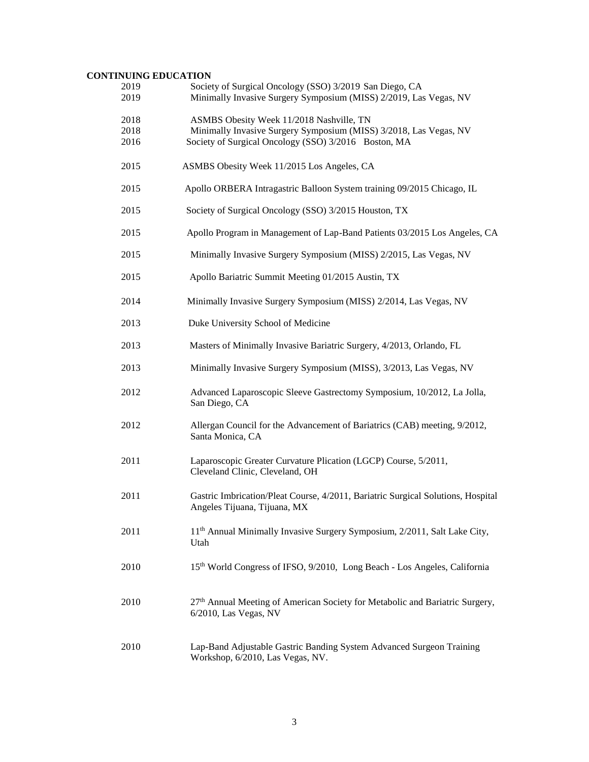# **CONTINUING EDUCATION**

| 2019<br>2019 | Society of Surgical Oncology (SSO) 3/2019 San Diego, CA<br>Minimally Invasive Surgery Symposium (MISS) 2/2019, Las Vegas, NV |
|--------------|------------------------------------------------------------------------------------------------------------------------------|
|              |                                                                                                                              |
| 2018         | ASMBS Obesity Week 11/2018 Nashville, TN                                                                                     |
| 2018<br>2016 | Minimally Invasive Surgery Symposium (MISS) 3/2018, Las Vegas, NV<br>Society of Surgical Oncology (SSO) 3/2016 Boston, MA    |
|              |                                                                                                                              |
| 2015         | ASMBS Obesity Week 11/2015 Los Angeles, CA                                                                                   |
| 2015         | Apollo ORBERA Intragastric Balloon System training 09/2015 Chicago, IL                                                       |
| 2015         | Society of Surgical Oncology (SSO) 3/2015 Houston, TX                                                                        |
| 2015         | Apollo Program in Management of Lap-Band Patients 03/2015 Los Angeles, CA                                                    |
| 2015         | Minimally Invasive Surgery Symposium (MISS) 2/2015, Las Vegas, NV                                                            |
| 2015         | Apollo Bariatric Summit Meeting 01/2015 Austin, TX                                                                           |
| 2014         | Minimally Invasive Surgery Symposium (MISS) 2/2014, Las Vegas, NV                                                            |
| 2013         | Duke University School of Medicine                                                                                           |
| 2013         | Masters of Minimally Invasive Bariatric Surgery, 4/2013, Orlando, FL                                                         |
| 2013         | Minimally Invasive Surgery Symposium (MISS), 3/2013, Las Vegas, NV                                                           |
| 2012         | Advanced Laparoscopic Sleeve Gastrectomy Symposium, 10/2012, La Jolla,<br>San Diego, CA                                      |
| 2012         | Allergan Council for the Advancement of Bariatrics (CAB) meeting, 9/2012,<br>Santa Monica, CA                                |
| 2011         | Laparoscopic Greater Curvature Plication (LGCP) Course, 5/2011,<br>Cleveland Clinic, Cleveland, OH                           |
| 2011         | Gastric Imbrication/Pleat Course, 4/2011, Bariatric Surgical Solutions, Hospital<br>Angeles Tijuana, Tijuana, MX             |
| 2011         | 11 <sup>th</sup> Annual Minimally Invasive Surgery Symposium, 2/2011, Salt Lake City,<br>Utah                                |
| 2010         | 15th World Congress of IFSO, 9/2010, Long Beach - Los Angeles, California                                                    |
| 2010         | 27 <sup>th</sup> Annual Meeting of American Society for Metabolic and Bariatric Surgery,<br>$6/2010$ , Las Vegas, NV         |
| 2010         | Lap-Band Adjustable Gastric Banding System Advanced Surgeon Training<br>Workshop, 6/2010, Las Vegas, NV.                     |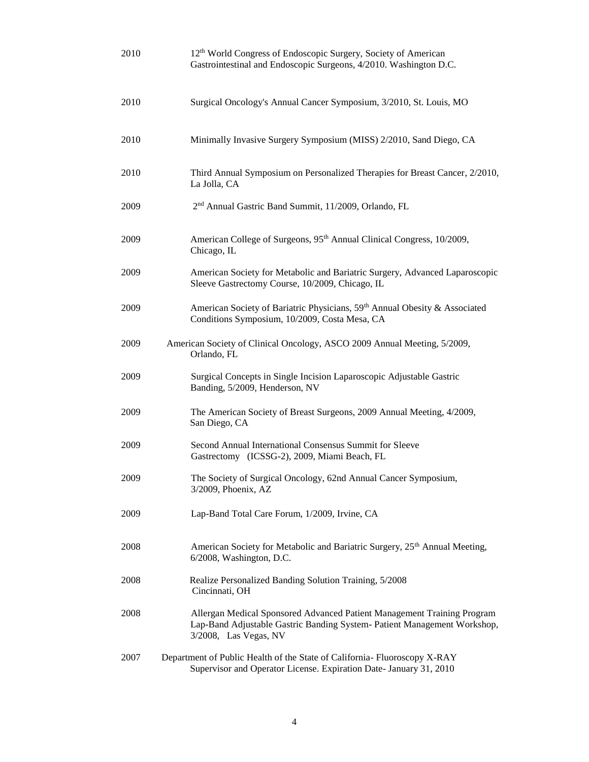| 2010 | 12 <sup>th</sup> World Congress of Endoscopic Surgery, Society of American<br>Gastrointestinal and Endoscopic Surgeons, 4/2010. Washington D.C.                              |
|------|------------------------------------------------------------------------------------------------------------------------------------------------------------------------------|
| 2010 | Surgical Oncology's Annual Cancer Symposium, 3/2010, St. Louis, MO                                                                                                           |
| 2010 | Minimally Invasive Surgery Symposium (MISS) 2/2010, Sand Diego, CA                                                                                                           |
| 2010 | Third Annual Symposium on Personalized Therapies for Breast Cancer, 2/2010,<br>La Jolla, CA                                                                                  |
| 2009 | 2 <sup>nd</sup> Annual Gastric Band Summit, 11/2009, Orlando, FL                                                                                                             |
| 2009 | American College of Surgeons, 95 <sup>th</sup> Annual Clinical Congress, 10/2009,<br>Chicago, IL                                                                             |
| 2009 | American Society for Metabolic and Bariatric Surgery, Advanced Laparoscopic<br>Sleeve Gastrectomy Course, 10/2009, Chicago, IL                                               |
| 2009 | American Society of Bariatric Physicians, 59th Annual Obesity & Associated<br>Conditions Symposium, 10/2009, Costa Mesa, CA                                                  |
| 2009 | American Society of Clinical Oncology, ASCO 2009 Annual Meeting, 5/2009,<br>Orlando, FL                                                                                      |
| 2009 | Surgical Concepts in Single Incision Laparoscopic Adjustable Gastric<br>Banding, 5/2009, Henderson, NV                                                                       |
| 2009 | The American Society of Breast Surgeons, 2009 Annual Meeting, 4/2009,<br>San Diego, CA                                                                                       |
| 2009 | Second Annual International Consensus Summit for Sleeve<br>Gastrectomy (ICSSG-2), 2009, Miami Beach, FL                                                                      |
| 2009 | The Society of Surgical Oncology, 62nd Annual Cancer Symposium,<br>3/2009, Phoenix, AZ                                                                                       |
| 2009 | Lap-Band Total Care Forum, 1/2009, Irvine, CA                                                                                                                                |
| 2008 | American Society for Metabolic and Bariatric Surgery, 25 <sup>th</sup> Annual Meeting,<br>6/2008, Washington, D.C.                                                           |
| 2008 | Realize Personalized Banding Solution Training, 5/2008<br>Cincinnati, OH                                                                                                     |
| 2008 | Allergan Medical Sponsored Advanced Patient Management Training Program<br>Lap-Band Adjustable Gastric Banding System- Patient Management Workshop,<br>3/2008, Las Vegas, NV |
| 2007 | Department of Public Health of the State of California- Fluoroscopy X-RAY<br>Supervisor and Operator License. Expiration Date- January 31, 2010                              |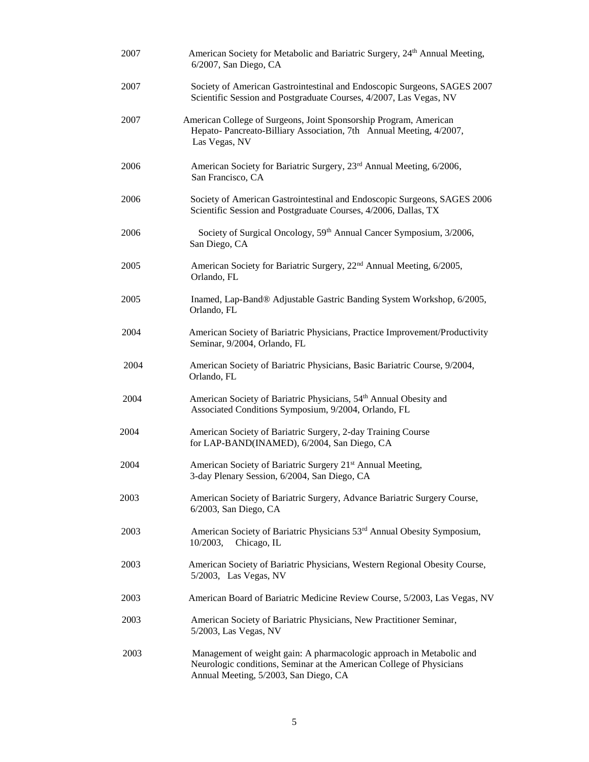| 2007 | American Society for Metabolic and Bariatric Surgery, 24th Annual Meeting,<br>6/2007, San Diego, CA                                                                                   |
|------|---------------------------------------------------------------------------------------------------------------------------------------------------------------------------------------|
| 2007 | Society of American Gastrointestinal and Endoscopic Surgeons, SAGES 2007<br>Scientific Session and Postgraduate Courses, 4/2007, Las Vegas, NV                                        |
| 2007 | American College of Surgeons, Joint Sponsorship Program, American<br>Hepato- Pancreato-Billiary Association, 7th Annual Meeting, 4/2007,<br>Las Vegas, NV                             |
| 2006 | American Society for Bariatric Surgery, 23 <sup>rd</sup> Annual Meeting, 6/2006,<br>San Francisco, CA                                                                                 |
| 2006 | Society of American Gastrointestinal and Endoscopic Surgeons, SAGES 2006<br>Scientific Session and Postgraduate Courses, 4/2006, Dallas, TX                                           |
| 2006 | Society of Surgical Oncology, 59th Annual Cancer Symposium, 3/2006,<br>San Diego, CA                                                                                                  |
| 2005 | American Society for Bariatric Surgery, 22 <sup>nd</sup> Annual Meeting, 6/2005,<br>Orlando, FL                                                                                       |
| 2005 | Inamed, Lap-Band® Adjustable Gastric Banding System Workshop, 6/2005,<br>Orlando, FL                                                                                                  |
| 2004 | American Society of Bariatric Physicians, Practice Improvement/Productivity<br>Seminar, 9/2004, Orlando, FL                                                                           |
| 2004 | American Society of Bariatric Physicians, Basic Bariatric Course, 9/2004,<br>Orlando, FL                                                                                              |
| 2004 | American Society of Bariatric Physicians, 54 <sup>th</sup> Annual Obesity and<br>Associated Conditions Symposium, 9/2004, Orlando, FL                                                 |
| 2004 | American Society of Bariatric Surgery, 2-day Training Course<br>for LAP-BAND(INAMED), 6/2004, San Diego, CA                                                                           |
| 2004 | American Society of Bariatric Surgery 21 <sup>st</sup> Annual Meeting,<br>3-day Plenary Session, 6/2004, San Diego, CA                                                                |
| 2003 | American Society of Bariatric Surgery, Advance Bariatric Surgery Course,<br>6/2003, San Diego, CA                                                                                     |
| 2003 | American Society of Bariatric Physicians 53 <sup>rd</sup> Annual Obesity Symposium,<br>10/2003,<br>Chicago, IL                                                                        |
| 2003 | American Society of Bariatric Physicians, Western Regional Obesity Course,<br>$5/2003$ , Las Vegas, NV                                                                                |
| 2003 | American Board of Bariatric Medicine Review Course, 5/2003, Las Vegas, NV                                                                                                             |
| 2003 | American Society of Bariatric Physicians, New Practitioner Seminar,<br>5/2003, Las Vegas, NV                                                                                          |
| 2003 | Management of weight gain: A pharmacologic approach in Metabolic and<br>Neurologic conditions, Seminar at the American College of Physicians<br>Annual Meeting, 5/2003, San Diego, CA |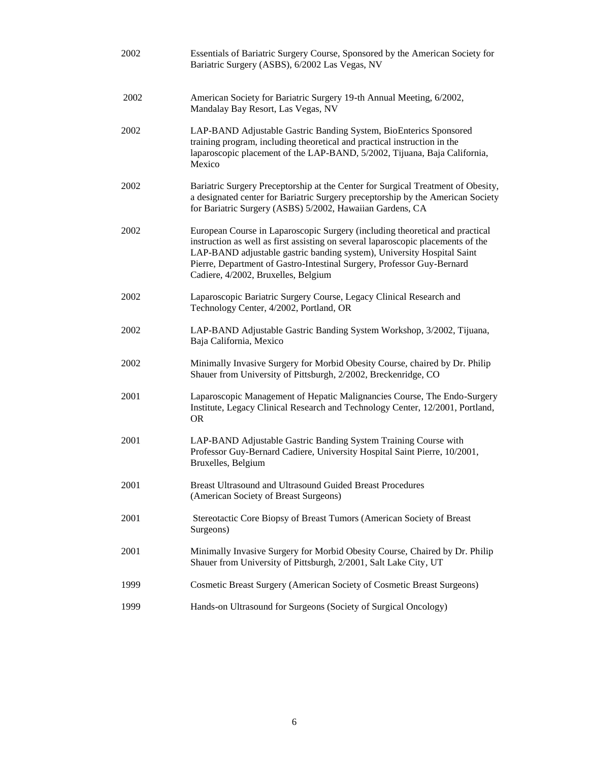| 2002 | Essentials of Bariatric Surgery Course, Sponsored by the American Society for<br>Bariatric Surgery (ASBS), 6/2002 Las Vegas, NV                                                                                                                                                                                                                             |
|------|-------------------------------------------------------------------------------------------------------------------------------------------------------------------------------------------------------------------------------------------------------------------------------------------------------------------------------------------------------------|
| 2002 | American Society for Bariatric Surgery 19-th Annual Meeting, 6/2002,<br>Mandalay Bay Resort, Las Vegas, NV                                                                                                                                                                                                                                                  |
| 2002 | LAP-BAND Adjustable Gastric Banding System, BioEnterics Sponsored<br>training program, including theoretical and practical instruction in the<br>laparoscopic placement of the LAP-BAND, 5/2002, Tijuana, Baja California,<br>Mexico                                                                                                                        |
| 2002 | Bariatric Surgery Preceptorship at the Center for Surgical Treatment of Obesity,<br>a designated center for Bariatric Surgery preceptorship by the American Society<br>for Bariatric Surgery (ASBS) 5/2002, Hawaiian Gardens, CA                                                                                                                            |
| 2002 | European Course in Laparoscopic Surgery (including theoretical and practical<br>instruction as well as first assisting on several laparoscopic placements of the<br>LAP-BAND adjustable gastric banding system), University Hospital Saint<br>Pierre, Department of Gastro-Intestinal Surgery, Professor Guy-Bernard<br>Cadiere, 4/2002, Bruxelles, Belgium |
| 2002 | Laparoscopic Bariatric Surgery Course, Legacy Clinical Research and<br>Technology Center, 4/2002, Portland, OR                                                                                                                                                                                                                                              |
| 2002 | LAP-BAND Adjustable Gastric Banding System Workshop, 3/2002, Tijuana,<br>Baja California, Mexico                                                                                                                                                                                                                                                            |
| 2002 | Minimally Invasive Surgery for Morbid Obesity Course, chaired by Dr. Philip<br>Shauer from University of Pittsburgh, 2/2002, Breckenridge, CO                                                                                                                                                                                                               |
| 2001 | Laparoscopic Management of Hepatic Malignancies Course, The Endo-Surgery<br>Institute, Legacy Clinical Research and Technology Center, 12/2001, Portland,<br><b>OR</b>                                                                                                                                                                                      |
| 2001 | LAP-BAND Adjustable Gastric Banding System Training Course with<br>Professor Guy-Bernard Cadiere, University Hospital Saint Pierre, 10/2001,<br>Bruxelles, Belgium                                                                                                                                                                                          |
| 2001 | <b>Breast Ultrasound and Ultrasound Guided Breast Procedures</b><br>(American Society of Breast Surgeons)                                                                                                                                                                                                                                                   |
| 2001 | Stereotactic Core Biopsy of Breast Tumors (American Society of Breast<br>Surgeons)                                                                                                                                                                                                                                                                          |
| 2001 | Minimally Invasive Surgery for Morbid Obesity Course, Chaired by Dr. Philip<br>Shauer from University of Pittsburgh, 2/2001, Salt Lake City, UT                                                                                                                                                                                                             |
| 1999 | Cosmetic Breast Surgery (American Society of Cosmetic Breast Surgeons)                                                                                                                                                                                                                                                                                      |
| 1999 | Hands-on Ultrasound for Surgeons (Society of Surgical Oncology)                                                                                                                                                                                                                                                                                             |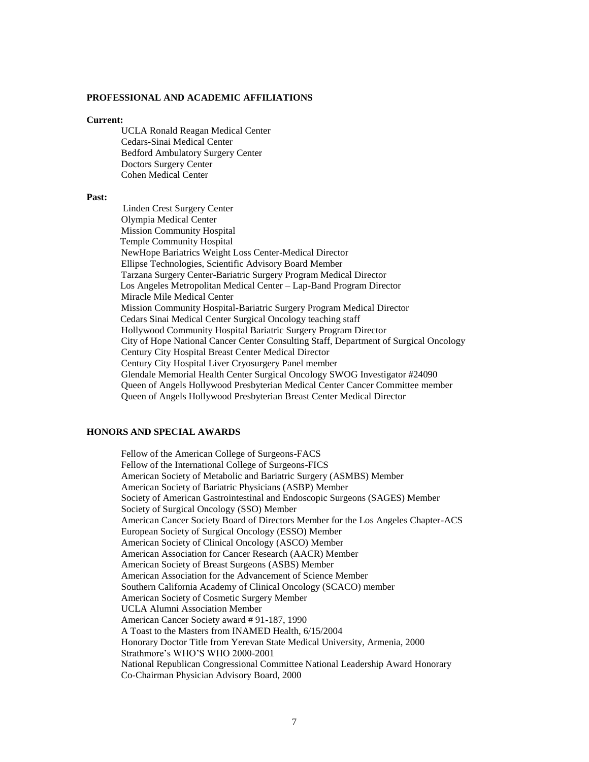### **PROFESSIONAL AND ACADEMIC AFFILIATIONS**

#### **Current:**

UCLA Ronald Reagan Medical Center Cedars-Sinai Medical Center Bedford Ambulatory Surgery Center Doctors Surgery Center Cohen Medical Center

#### **Past:**

 Linden Crest Surgery Center Olympia Medical Center Mission Community Hospital Temple Community Hospital NewHope Bariatrics Weight Loss Center-Medical Director Ellipse Technologies, Scientific Advisory Board Member Tarzana Surgery Center-Bariatric Surgery Program Medical Director Los Angeles Metropolitan Medical Center – Lap-Band Program Director Miracle Mile Medical Center Mission Community Hospital-Bariatric Surgery Program Medical Director Cedars Sinai Medical Center Surgical Oncology teaching staff Hollywood Community Hospital Bariatric Surgery Program Director City of Hope National Cancer Center Consulting Staff, Department of Surgical Oncology Century City Hospital Breast Center Medical Director Century City Hospital Liver Cryosurgery Panel member Glendale Memorial Health Center Surgical Oncology SWOG Investigator #24090 Queen of Angels Hollywood Presbyterian Medical Center Cancer Committee member Queen of Angels Hollywood Presbyterian Breast Center Medical Director

#### **HONORS AND SPECIAL AWARDS**

Fellow of the American College of Surgeons-FACS Fellow of the International College of Surgeons-FICS American Society of Metabolic and Bariatric Surgery (ASMBS) Member American Society of Bariatric Physicians (ASBP) Member Society of American Gastrointestinal and Endoscopic Surgeons (SAGES) Member Society of Surgical Oncology (SSO) Member American Cancer Society Board of Directors Member for the Los Angeles Chapter-ACS European Society of Surgical Oncology (ESSO) Member American Society of Clinical Oncology (ASCO) Member American Association for Cancer Research (AACR) Member American Society of Breast Surgeons (ASBS) Member American Association for the Advancement of Science Member Southern California Academy of Clinical Oncology (SCACO) member American Society of Cosmetic Surgery Member UCLA Alumni Association Member American Cancer Society award # 91-187, 1990 A Toast to the Masters from INAMED Health, 6/15/2004 Honorary Doctor Title from Yerevan State Medical University, Armenia, 2000 Strathmore's WHO'S WHO 2000-2001 National Republican Congressional Committee National Leadership Award Honorary Co-Chairman Physician Advisory Board, 2000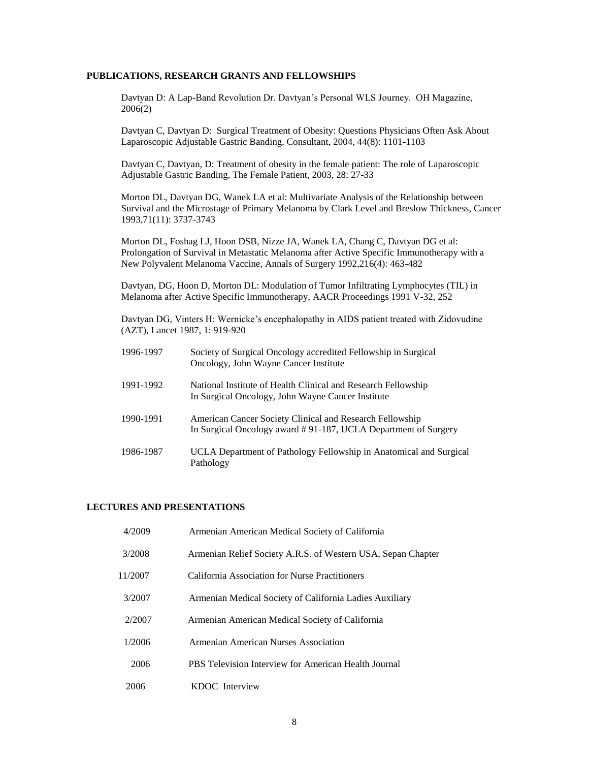#### **PUBLICATIONS, RESEARCH GRANTS AND FELLOWSHIPS**

Davtyan D: A Lap-Band Revolution Dr. Davtyan's Personal WLS Journey. OH Magazine, 2006(2)

Davtyan C, Davtyan D: Surgical Treatment of Obesity: Questions Physicians Often Ask About Laparoscopic Adjustable Gastric Banding. Consultant, 2004, 44(8): 1101-1103

Davtyan C, Davtyan, D: Treatment of obesity in the female patient: The role of Laparoscopic Adjustable Gastric Banding, The Female Patient, 2003, 28: 27-33

Morton DL, Davtyan DG, Wanek LA et al: Multivariate Analysis of the Relationship between Survival and the Microstage of Primary Melanoma by Clark Level and Breslow Thickness, Cancer 1993,71(11): 3737-3743

Morton DL, Foshag LJ, Hoon DSB, Nizze JA, Wanek LA, Chang C, Davtyan DG et al: Prolongation of Survival in Metastatic Melanoma after Active Specific Immunotherapy with a New Polyvalent Melanoma Vaccine, Annals of Surgery 1992,216(4): 463-482

Davtyan, DG, Hoon D, Morton DL: Modulation of Tumor Infiltrating Lymphocytes (TIL) in Melanoma after Active Specific Immunotherapy, AACR Proceedings 1991 V-32, 252

Davtyan DG, Vinters H: Wernicke's encephalopathy in AIDS patient treated with Zidovudine (AZT), Lancet 1987, 1: 919-920

| 1996-1997 | Society of Surgical Oncology accredited Fellowship in Surgical<br>Oncology, John Wayne Cancer Institute                    |
|-----------|----------------------------------------------------------------------------------------------------------------------------|
| 1991-1992 | National Institute of Health Clinical and Research Fellowship<br>In Surgical Oncology, John Wayne Cancer Institute         |
| 1990-1991 | American Cancer Society Clinical and Research Fellowship<br>In Surgical Oncology award #91-187, UCLA Department of Surgery |
| 1986-1987 | UCLA Department of Pathology Fellowship in Anatomical and Surgical<br>Pathology                                            |

## **LECTURES AND PRESENTATIONS**

| 4/2009  | Armenian American Medical Society of California              |
|---------|--------------------------------------------------------------|
| 3/2008  | Armenian Relief Society A.R.S. of Western USA, Sepan Chapter |
| 11/2007 | California Association for Nurse Practitioners               |
| 3/2007  | Armenian Medical Society of California Ladies Auxiliary      |
| 2/2007  | Armenian American Medical Society of California              |
| 1/2006  | Armenian American Nurses Association                         |
| 2006    | PBS Television Interview for American Health Journal         |
| 2006    | KDOC Interview                                               |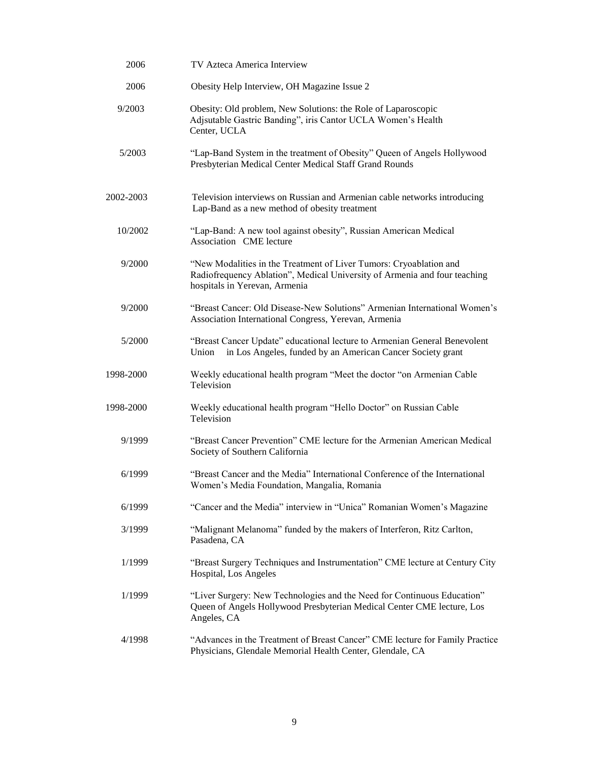| 2006      | TV Azteca America Interview                                                                                                                                                      |
|-----------|----------------------------------------------------------------------------------------------------------------------------------------------------------------------------------|
| 2006      | Obesity Help Interview, OH Magazine Issue 2                                                                                                                                      |
| 9/2003    | Obesity: Old problem, New Solutions: the Role of Laparoscopic<br>Adjsutable Gastric Banding", iris Cantor UCLA Women's Health<br>Center, UCLA                                    |
| 5/2003    | "Lap-Band System in the treatment of Obesity" Queen of Angels Hollywood<br>Presbyterian Medical Center Medical Staff Grand Rounds                                                |
| 2002-2003 | Television interviews on Russian and Armenian cable networks introducing<br>Lap-Band as a new method of obesity treatment                                                        |
| 10/2002   | "Lap-Band: A new tool against obesity", Russian American Medical<br>Association CME lecture                                                                                      |
| 9/2000    | "New Modalities in the Treatment of Liver Tumors: Cryoablation and<br>Radiofrequency Ablation", Medical University of Armenia and four teaching<br>hospitals in Yerevan, Armenia |
| 9/2000    | "Breast Cancer: Old Disease-New Solutions" Armenian International Women's<br>Association International Congress, Yerevan, Armenia                                                |
| 5/2000    | "Breast Cancer Update" educational lecture to Armenian General Benevolent<br>Union<br>in Los Angeles, funded by an American Cancer Society grant                                 |
| 1998-2000 | Weekly educational health program "Meet the doctor "on Armenian Cable<br>Television                                                                                              |
| 1998-2000 | Weekly educational health program "Hello Doctor" on Russian Cable<br>Television                                                                                                  |
| 9/1999    | "Breast Cancer Prevention" CME lecture for the Armenian American Medical<br>Society of Southern California                                                                       |
| 6/1999    | "Breast Cancer and the Media" International Conference of the International<br>Women's Media Foundation, Mangalia, Romania                                                       |
| 6/1999    | "Cancer and the Media" interview in "Unica" Romanian Women's Magazine                                                                                                            |
| 3/1999    | "Malignant Melanoma" funded by the makers of Interferon, Ritz Carlton,<br>Pasadena, CA                                                                                           |
| 1/1999    | "Breast Surgery Techniques and Instrumentation" CME lecture at Century City<br>Hospital, Los Angeles                                                                             |
| 1/1999    | "Liver Surgery: New Technologies and the Need for Continuous Education"<br>Queen of Angels Hollywood Presbyterian Medical Center CME lecture, Los<br>Angeles, CA                 |
| 4/1998    | "Advances in the Treatment of Breast Cancer" CME lecture for Family Practice<br>Physicians, Glendale Memorial Health Center, Glendale, CA                                        |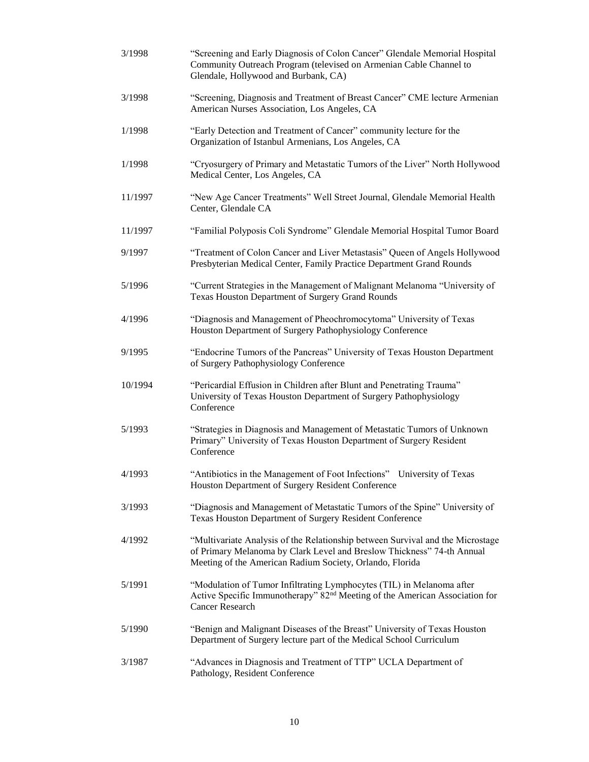| 3/1998  | "Screening and Early Diagnosis of Colon Cancer" Glendale Memorial Hospital<br>Community Outreach Program (televised on Armenian Cable Channel to<br>Glendale, Hollywood and Burbank, CA)                             |
|---------|----------------------------------------------------------------------------------------------------------------------------------------------------------------------------------------------------------------------|
| 3/1998  | "Screening, Diagnosis and Treatment of Breast Cancer" CME lecture Armenian<br>American Nurses Association, Los Angeles, CA                                                                                           |
| 1/1998  | "Early Detection and Treatment of Cancer" community lecture for the<br>Organization of Istanbul Armenians, Los Angeles, CA                                                                                           |
| 1/1998  | "Cryosurgery of Primary and Metastatic Tumors of the Liver" North Hollywood<br>Medical Center, Los Angeles, CA                                                                                                       |
| 11/1997 | "New Age Cancer Treatments" Well Street Journal, Glendale Memorial Health<br>Center, Glendale CA                                                                                                                     |
| 11/1997 | "Familial Polyposis Coli Syndrome" Glendale Memorial Hospital Tumor Board                                                                                                                                            |
| 9/1997  | "Treatment of Colon Cancer and Liver Metastasis" Queen of Angels Hollywood<br>Presbyterian Medical Center, Family Practice Department Grand Rounds                                                                   |
| 5/1996  | "Current Strategies in the Management of Malignant Melanoma "University of<br>Texas Houston Department of Surgery Grand Rounds                                                                                       |
| 4/1996  | "Diagnosis and Management of Pheochromocytoma" University of Texas<br>Houston Department of Surgery Pathophysiology Conference                                                                                       |
| 9/1995  | "Endocrine Tumors of the Pancreas" University of Texas Houston Department<br>of Surgery Pathophysiology Conference                                                                                                   |
| 10/1994 | "Pericardial Effusion in Children after Blunt and Penetrating Trauma"<br>University of Texas Houston Department of Surgery Pathophysiology<br>Conference                                                             |
| 5/1993  | "Strategies in Diagnosis and Management of Metastatic Tumors of Unknown<br>Primary" University of Texas Houston Department of Surgery Resident<br>Conference                                                         |
| 4/1993  | "Antibiotics in the Management of Foot Infections" University of Texas<br>Houston Department of Surgery Resident Conference                                                                                          |
| 3/1993  | "Diagnosis and Management of Metastatic Tumors of the Spine" University of<br>Texas Houston Department of Surgery Resident Conference                                                                                |
| 4/1992  | "Multivariate Analysis of the Relationship between Survival and the Microstage<br>of Primary Melanoma by Clark Level and Breslow Thickness" 74-th Annual<br>Meeting of the American Radium Society, Orlando, Florida |
| 5/1991  | "Modulation of Tumor Infiltrating Lymphocytes (TIL) in Melanoma after<br>Active Specific Immunotherapy" 82 <sup>nd</sup> Meeting of the American Association for<br><b>Cancer Research</b>                           |
| 5/1990  | "Benign and Malignant Diseases of the Breast" University of Texas Houston<br>Department of Surgery lecture part of the Medical School Curriculum                                                                     |
| 3/1987  | "Advances in Diagnosis and Treatment of TTP" UCLA Department of<br>Pathology, Resident Conference                                                                                                                    |